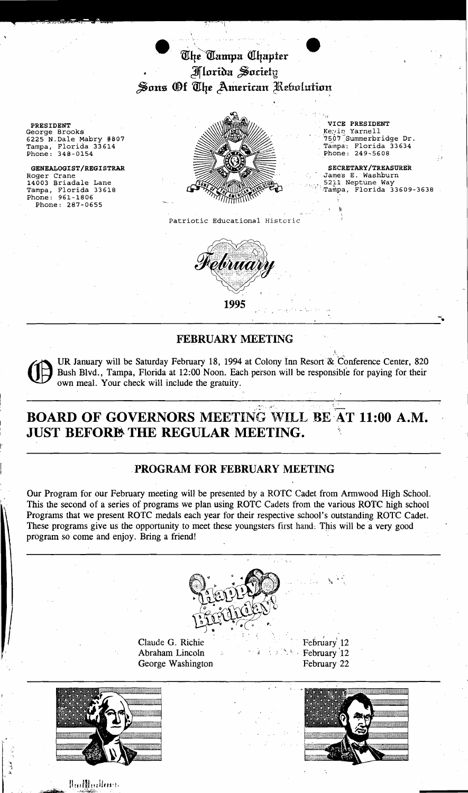The Tampa Chapter Hlorida Society Sons Of *The American Rebolution* 

- - -/-;~ -/- ~,..",.-r.

Roger Crane GENEALOGIST/REGISTRAR Phone: 961-1806 Phone: 287-0655



SECRETARY/TREASURER Jame's E. Washburn<br>5211 Neptune Way Tampa, Florida 33609-3638

Patriotic Educational Histcric



## FEBRUARY MEETING

UR January will be Saturday February 18, 1994 at Colony Inn Resort & Conference Center, 820 Bush Blvd., Tampa, Florida at 12:00 Noon. Each person will be responsible for paying for their own meal. Your check will include the gratuity -----------------------,---- .-,..-~.. \_-------- ......... ,......

# BOARD OF GOVERNORS MEETING WILL BE AT 11:00 A.M. JUST BEFORE THE REGULAR MEETING.

## ,PROGRAM FOR FEBRUARY MEETING

Our Program for our February meeting will be presented by a ROTC Cadet from Armwood High School. This the second of a series of programs we plan using ROTC Cadets from the various ROTC high school Programs that we present ROTC medals each year for their respective school's outstanding ROTC Cadet. These programs give us the opportunity to meet these youngsters first hand. This will be a very good program so come and enjoy. Bring a friend! .



Claude G. Richie February 12 Abraham Lincoln **State of the Secret Shake.** February 12 George Washington February 22



∦ա**Ռիցվես**-ի

٦

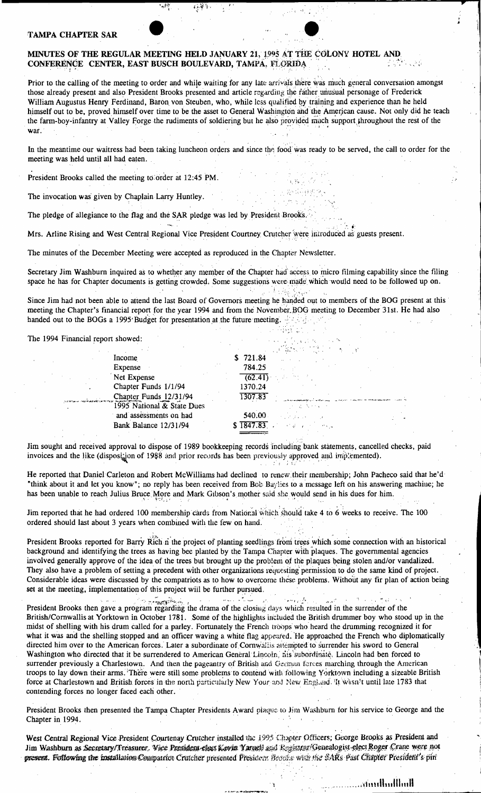#### **TAMPA CHAPTER SAR**

#### MINUTES OF THE REGULAR MEETING HELD JANUARY 21, 1995 AT THE COLONY HOTEL AND CONFERENCE CENTER, EAST BUSCH BOULEVARD, TAMPA, FLORIDA

Prior to the calling of the meeting to order and while waiting for any late arrivals there was much general conversation amongst those already present and also President Brooks presented and article regarding the rather unusual personage of Frederick William Augustus Henry Ferdinand, Baron von Steuben, who, while less qualified by training and experience than he held himself out to be, proved himself over time to be the asset to General Washington and the American cause. Not only did he teach the farm-boy-infantry at Valley Forge the rudiments of soldiering but he also provided much support throughout the rest of the war.

In the meantime our waitress had been taking luncheon orders and since the food was ready to be served, the call to order for the meeting was held until all had eaten.

President Brooks called the meeting to order at 12:45 PM.

The invocation was given by Chaplain Larry Huntley.

The pledge of allegiance to the flag and the SAR pledge was led by President Brooks.

Mrs. Arline Rising and West Central Regional Vice President Courtney Crutcher were introduced as guests present.

The minutes of the December Meeting were accepted as reproduced in the Chapter Newsletter.

Secretary Jim Washburn inquired as to whether any member of the Chapter had access to micro filming capability since the filing space he has for Chapter documents is getting crowded. Some suggestions were made which would need to be followed up on.

Since Jim had not been able to attend the last Board of Governors meeting he handed out to members of the BOG present at this meeting the Chapter's financial report for the year 1994 and from the November BOG meeting to December 31st. He had also handed out to the BOGs a 1995 Budget for presentation at the future meeting. All and the future meeting

The 1994 Financial report showed:

|                                                      | 计算机编码 地名日本印度             |
|------------------------------------------------------|--------------------------|
| Income                                               | \$721.84                 |
| Expense                                              | 784.25                   |
| Net Expense                                          | 3. 4. 가는 카드<br>(62.41)   |
| Chapter Funds 1/1/94                                 | 1370.24                  |
|                                                      | 1307.83                  |
| Chapter Funds 12/31/94<br>1995 National & State Dues |                          |
| and assessments on had                               | 540.00<br>a Santa Carlos |
| Bank Balance 12/31/94                                | $$1847.83$ $$321.83$     |
|                                                      |                          |

Jim sought and received approval to dispose of 1989 bookkeeping records including bank statements, cancelled checks, paid invoices and the like (disposition of 1988 and prior records has been previously approved and implemented).

He reported that Daniel Carleton and Robert McWilliams had declined to renew their membership; John Pacheco said that he'd "think about it and let you know"; no reply has been received from Bob Baylies to a message left on his answering machine; he has been unable to reach Julius Bruce More and Mark Gibson's mother said she would send in his dues for him.

Jim reported that he had ordered 100 membership cards from National which should take 4 to 6 weeks to receive. The 100 ordered should last about 3 years when combined with the few on hand.

President Brooks reported for Barry Rich n the project of planting seedlings from trees which some connection with an historical background and identifying the trees as having bee planted by the Tampa Chapter with plaques. The governmental agencies involved generally approve of the idea of the trees but brought up the problem of the plaques being stolen and/or vandalized. They also have a problem of setting a precedent with other organizations requesting permission to do the same kind of project. Considerable ideas were discussed by the compatriots as to how to overcome these problems. Without any fir plan of action being set at the meeting, implementation of this project will be further pursued.

الی کی آئی<br>سب سال میں میں مو President Brooks then gave a program regarding the drama of the closing days which resulted in the surrender of the British/Cornwallis at Yorktown in October 1781. Some of the highlights included the British drummer boy who stood up in the midst of shelling with his drum called for a parley. Fortunately the French troops who heard the drumming recognized it for what it was and the shelling stopped and an officer waving a white flag appeared. He approached the French who diplomatically directed him over to the American forces. Later a subordinate of Cornwallis attempted to surrender his sword to General Washington who directed that it be surrendered to American General Lincoln, his subordinate. Lincoln had ben forced to surrender previously a Charlestown. And then the pageantry of British and German forces marching through the American troops to lay down their arms. There were still some problems to contend with following Yorktown including a sizeable British force at Charlestown and British forces in the north particularly New Your and New England. It wasn't until late 1783 that contending forces no longer faced each other.

President Brooks then presented the Tampa Chapter Presidents Award plaque to Jim Washburn for his service to George and the Chapter in 1994.

West Central Regional Vice President Courtenay Crutcher installed the 1995 Chapter Officers; George Brooks as President and Jim Washburn as Secretary/Treasurer. Vice President class Kovin Yarnell and Kepistrar/Genealogist-elect Roger Crane were not present. Following the installation Compatriot Crutcher presented President Brooks with the SARs Past Chapter President's pin-

Huillialbank...........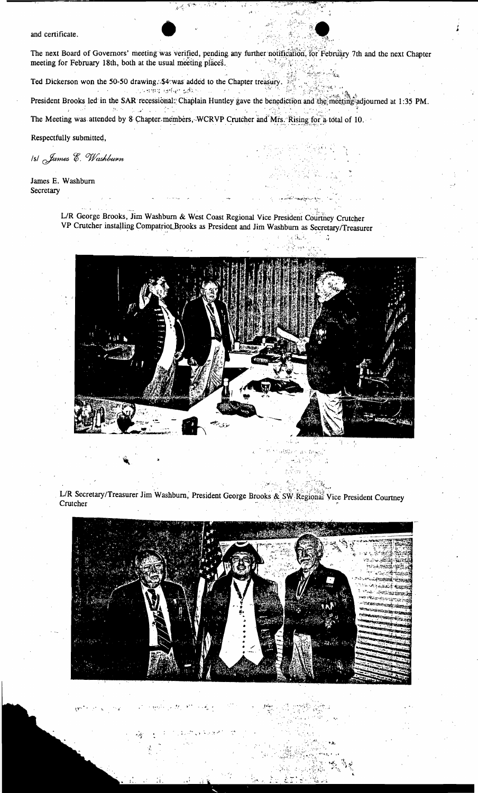and certificate.

The next Board of Governors' meeting was verified, pending any further notification, for February 7th and the next Chapter  $\sim 1/\mu$  K meeting for February 18th, both at the usual meeting places.  $\mathcal{A}_{\mathcal{A}}$  $\hat{\mathcal{C}}$ 

Ted Dickerson won the 50-50 drawing. \$4 was added to the Chapter treasury. ด เจ้า และ เริงเ**ล่านิ้น เอสัญา ผลัง**กลางแบบ ดาว เป็นเ

President Brooks led in the SAR recessional: Chaplain Huntley gave the benediction and the meeting adjourned at 1:35 PM.  $\label{eq:1} \mathcal{D}_{\mathcal{C}}(t) = \mathcal{D}_{\mathcal{C}}(t) \mathcal{D}_{\mathcal{C}}(t) = \mathcal{D}_{\mathcal{C}}(t)$ 

iggo<br>Vi

 $\mathcal{F}^{\mathcal{E}}(q, \mathcal{E})$  .

 $\frac{1}{\sqrt{2}}$ 

The Meeting was attended by 8 Chapter members, WCRVP Crutcher and Mrs. Rising for a total of 10.

Respectfully submitted,

IsI James E. Washburn

James E. Washburn Secretary

> L/R George Brooks, Jim Washburn & West Coast Regional Vice President Courtney Crutcher VP Crutcher installing Compatriot Brooks as President and Jim Washburn as Secretary/Treasurer



 $\ddot{x}$ 

23. 花

 $\omega_{\rm{eff}}$  ,  $\omega_{\rm{B}}$ 

L/R Secretary/Treasurer Jim Washburn, President George Brooks & SW Regional Vice President Courtney Crutcher